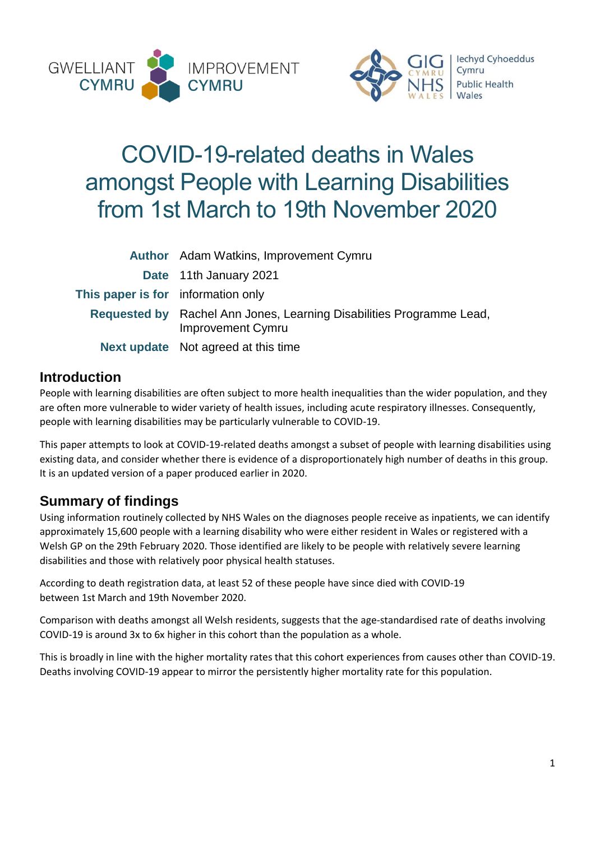



# COVID-19-related deaths in Wales amongst People with Learning Disabilities from 1st March to 19th November 2020

|                                    | Author Adam Watkins, Improvement Cymru                                                           |
|------------------------------------|--------------------------------------------------------------------------------------------------|
|                                    | Date 11th January 2021                                                                           |
| This paper is for information only |                                                                                                  |
|                                    | Requested by Rachel Ann Jones, Learning Disabilities Programme Lead,<br><b>Improvement Cymru</b> |
|                                    | <b>Next update</b> Not agreed at this time                                                       |

# **Introduction**

People with learning disabilities are often subject to more health inequalities than the wider population, and they are often more vulnerable to wider variety of health issues, including acute respiratory illnesses. Consequently, people with learning disabilities may be particularly vulnerable to COVID-19.

This paper attempts to look at COVID-19-related deaths amongst a subset of people with learning disabilities using existing data, and consider whether there is evidence of a disproportionately high number of deaths in this group. It is an updated version of a paper produced earlier in 2020.

# **Summary of findings**

Using information routinely collected by NHS Wales on the diagnoses people receive as inpatients, we can identify approximately 15,600 people with a learning disability who were either resident in Wales or registered with a Welsh GP on the 29th February 2020. Those identified are likely to be people with relatively severe learning disabilities and those with relatively poor physical health statuses.

According to death registration data, at least 52 of these people have since died with COVID-19 between 1st March and 19th November 2020.

Comparison with deaths amongst all Welsh residents, suggests that the age-standardised rate of deaths involving COVID-19 is around 3x to 6x higher in this cohort than the population as a whole.

This is broadly in line with the higher mortality rates that this cohort experiences from causes other than COVID-19. Deaths involving COVID-19 appear to mirror the persistently higher mortality rate for this population.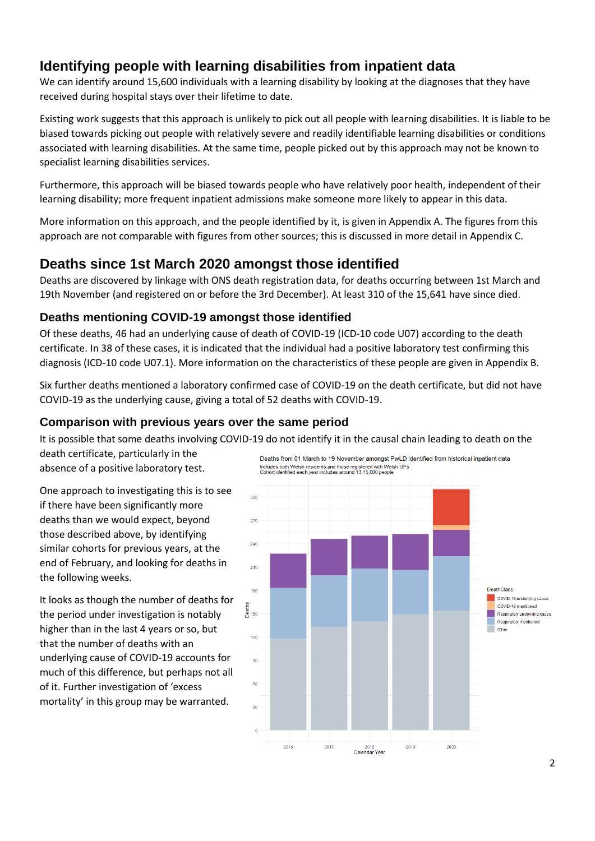# **Identifying people with learning disabilities from inpatient data**

We can identify around 15,600 individuals with a learning disability by looking at the diagnoses that they have received during hospital stays over their lifetime to date.

Existing work suggests that this approach is unlikely to pick out all people with learning disabilities. It is liable to be biased towards picking out people with relatively severe and readily identifiable learning disabilities or conditions associated with learning disabilities. At the same time, people picked out by this approach may not be known to specialist learning disabilities services.

Furthermore, this approach will be biased towards people who have relatively poor health, independent of their learning disability; more frequent inpatient admissions make someone more likely to appear in this data.

More information on this approach, and the people identified by it, is given in Appendix A. The figures from this approach are not comparable with figures from other sources; this is discussed in more detail in Appendix C.

### **Deaths since 1st March 2020 amongst those identified**

Deaths are discovered by linkage with ONS death registration data, for deaths occurring between 1st March and 19th November (and registered on or before the 3rd December). At least 310 of the 15,641 have since died.

### **Deaths mentioning COVID-19 amongst those identified**

Of these deaths, 46 had an underlying cause of death of COVID-19 (ICD-10 code U07) according to the death certificate. In 38 of these cases, it is indicated that the individual had a positive laboratory test confirming this diagnosis (ICD-10 code U07.1). More information on the characteristics of these people are given in Appendix B.

Six further deaths mentioned a laboratory confirmed case of COVID-19 on the death certificate, but did not have COVID-19 as the underlying cause, giving a total of 52 deaths with COVID-19.

#### **Comparison with previous years over the same period**

It is possible that some deaths involving COVID-19 do not identify it in the causal chain leading to death on the

death certificate, particularly in the absence of a positive laboratory test.

One approach to investigating this is to see if there have been significantly more deaths than we would expect, beyond those described above, by identifying similar cohorts for previous years, at the end of February, and looking for deaths in the following weeks.

It looks as though the number of deaths for the period under investigation is notably higher than in the last 4 years or so, but that the number of deaths with an underlying cause of COVID-19 accounts for much of this difference, but perhaps not all of it. Further investigation of 'excess mortality' in this group may be warranted.

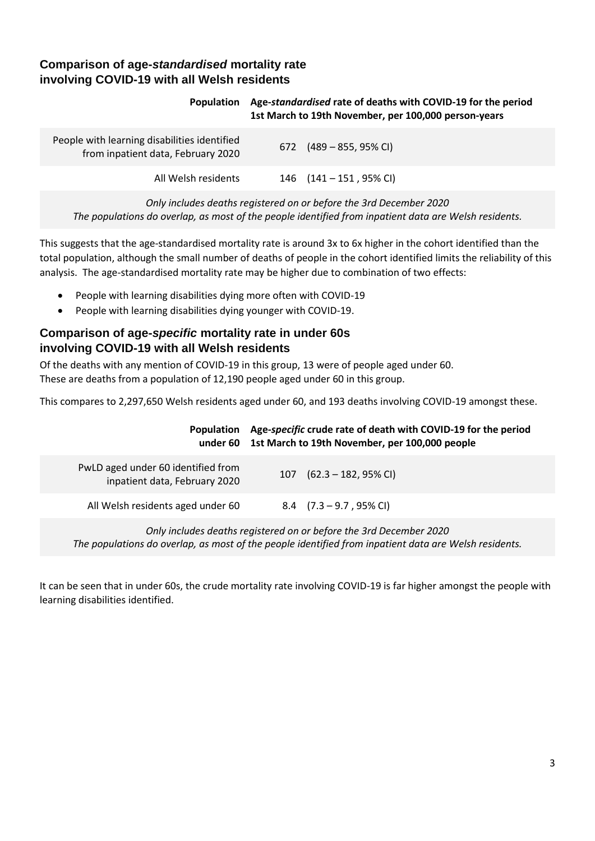### **Comparison of age-***standardised* **mortality rate involving COVID-19 with all Welsh residents**

#### **Population Age-***standardised* **rate of deaths with COVID-19 for the period 1st March to 19th November, per 100,000 person-years**

| People with learning disabilities identified<br>from inpatient data, February 2020 | 672 $(489 - 855, 95\% \text{ Cl})$ |
|------------------------------------------------------------------------------------|------------------------------------|
| All Welsh residents                                                                | 146 $(141 - 151, 95\% \text{ Cl})$ |

*Only includes deaths registered on or before the 3rd December 2020 The populations do overlap, as most of the people identified from inpatient data are Welsh residents.*

This suggests that the age-standardised mortality rate is around 3x to 6x higher in the cohort identified than the total population, although the small number of deaths of people in the cohort identified limits the reliability of this analysis. The age-standardised mortality rate may be higher due to combination of two effects:

- People with learning disabilities dying more often with COVID-19
- People with learning disabilities dying younger with COVID-19.

### **Comparison of age-***specific* **mortality rate in under 60s involving COVID-19 with all Welsh residents**

Of the deaths with any mention of COVID-19 in this group, 13 were of people aged under 60. These are deaths from a population of 12,190 people aged under 60 in this group.

This compares to 2,297,650 Welsh residents aged under 60, and 193 deaths involving COVID-19 amongst these.

| <b>Population</b>                                                   | Age-specific crude rate of death with COVID-19 for the period<br>under 60 1st March to 19th November, per 100,000 people |                                     |
|---------------------------------------------------------------------|--------------------------------------------------------------------------------------------------------------------------|-------------------------------------|
| PwLD aged under 60 identified from<br>inpatient data, February 2020 |                                                                                                                          | 107 $(62.3 - 182, 95\% \text{ Cl})$ |
| All Welsh residents aged under 60                                   |                                                                                                                          | 8.4 $(7.3 - 9.7, 95\% \text{ Cl})$  |

*Only includes deaths registered on or before the 3rd December 2020 The populations do overlap, as most of the people identified from inpatient data are Welsh residents.*

It can be seen that in under 60s, the crude mortality rate involving COVID-19 is far higher amongst the people with learning disabilities identified.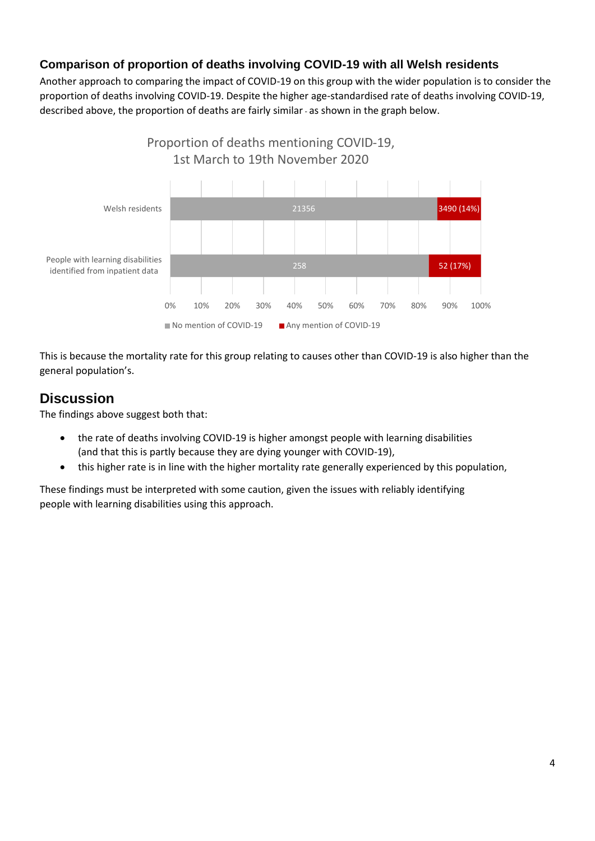### **Comparison of proportion of deaths involving COVID-19 with all Welsh residents**

Another approach to comparing the impact of COVID-19 on this group with the wider population is to consider the proportion of deaths involving COVID-19. Despite the higher age-standardised rate of deaths involving COVID-19, described above, the proportion of deaths are fairly similar- as shown in the graph below.



This is because the mortality rate for this group relating to causes other than COVID-19 is also higher than the general population's.

# **Discussion**

The findings above suggest both that:

- the rate of deaths involving COVID-19 is higher amongst people with learning disabilities (and that this is partly because they are dying younger with COVID-19),
- this higher rate is in line with the higher mortality rate generally experienced by this population,

These findings must be interpreted with some caution, given the issues with reliably identifying people with learning disabilities using this approach.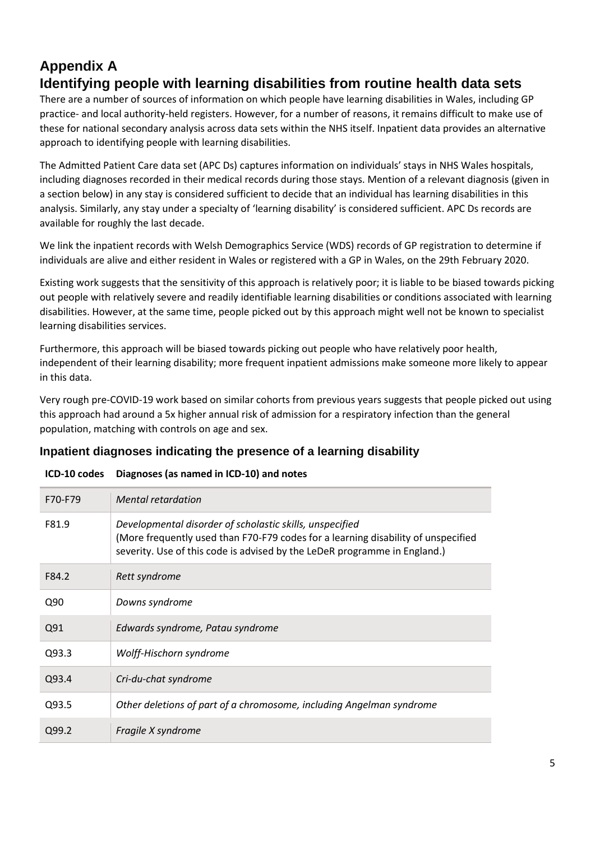# **Appendix A Identifying people with learning disabilities from routine health data sets**

There are a number of sources of information on which people have learning disabilities in Wales, including GP practice- and local authority-held registers. However, for a number of reasons, it remains difficult to make use of these for national secondary analysis across data sets within the NHS itself. Inpatient data provides an alternative approach to identifying people with learning disabilities.

The Admitted Patient Care data set (APC Ds) captures information on individuals' stays in NHS Wales hospitals, including diagnoses recorded in their medical records during those stays. Mention of a relevant diagnosis (given in a section below) in any stay is considered sufficient to decide that an individual has learning disabilities in this analysis. Similarly, any stay under a specialty of 'learning disability' is considered sufficient. APC Ds records are available for roughly the last decade.

We link the inpatient records with Welsh Demographics Service (WDS) records of GP registration to determine if individuals are alive and either resident in Wales or registered with a GP in Wales, on the 29th February 2020.

Existing work suggests that the sensitivity of this approach is relatively poor; it is liable to be biased towards picking out people with relatively severe and readily identifiable learning disabilities or conditions associated with learning disabilities. However, at the same time, people picked out by this approach might well not be known to specialist learning disabilities services.

Furthermore, this approach will be biased towards picking out people who have relatively poor health, independent of their learning disability; more frequent inpatient admissions make someone more likely to appear in this data.

Very rough pre-COVID-19 work based on similar cohorts from previous years suggests that people picked out using this approach had around a 5x higher annual risk of admission for a respiratory infection than the general population, matching with controls on age and sex.

### **Inpatient diagnoses indicating the presence of a learning disability**

| F70-F79 | <b>Mental retardation</b>                                                                                                                                                                                                  |
|---------|----------------------------------------------------------------------------------------------------------------------------------------------------------------------------------------------------------------------------|
| F81.9   | Developmental disorder of scholastic skills, unspecified<br>(More frequently used than F70-F79 codes for a learning disability of unspecified<br>severity. Use of this code is advised by the LeDeR programme in England.) |
| F84.2   | Rett syndrome                                                                                                                                                                                                              |
| Q90     | Downs syndrome                                                                                                                                                                                                             |
| Q91     | Edwards syndrome, Patau syndrome                                                                                                                                                                                           |
| Q93.3   | Wolff-Hischorn syndrome                                                                                                                                                                                                    |
| Q93.4   | Cri-du-chat syndrome                                                                                                                                                                                                       |
| Q93.5   | Other deletions of part of a chromosome, including Angelman syndrome                                                                                                                                                       |
| Q99.2   | Fragile X syndrome                                                                                                                                                                                                         |

#### **ICD-10 codes Diagnoses (as named in ICD-10) and notes**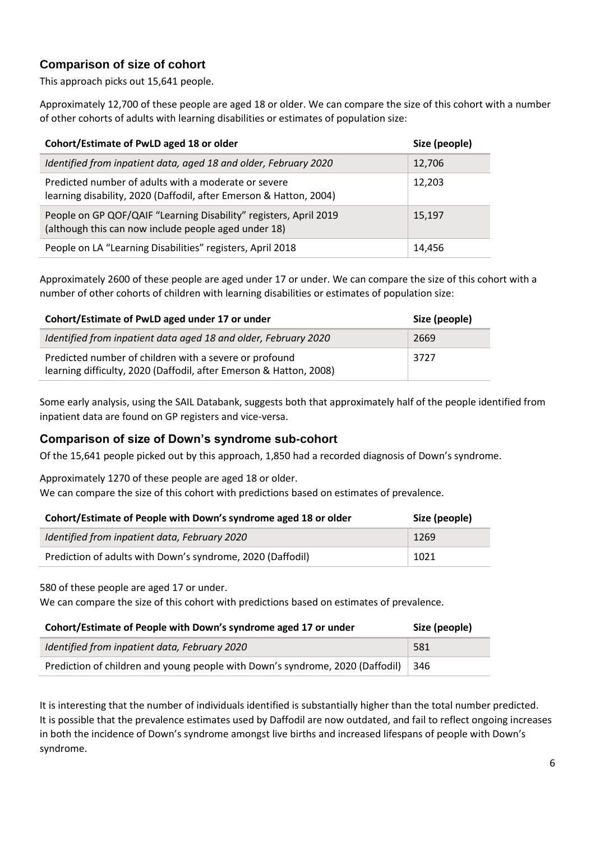### **Comparison of size of cohort**

This approach picks out 15,641 people.

Approximately 12,700 of these people are aged 18 or older. We can compare the size of this cohort with a number of other cohorts of adults with learning disabilities or estimates of population size:

| Cohort/Estimate of PwLD aged 18 or older                                                                                   | Size (people) |
|----------------------------------------------------------------------------------------------------------------------------|---------------|
| Identified from inpatient data, aged 18 and older, February 2020                                                           | 12,706        |
| Predicted number of adults with a moderate or severe<br>learning disability, 2020 (Daffodil, after Emerson & Hatton, 2004) | 12,203        |
| People on GP QOF/QAIF "Learning Disability" registers, April 2019<br>(although this can now include people aged under 18)  | 15,197        |
| People on LA "Learning Disabilities" registers, April 2018                                                                 | 14,456        |

Approximately 2600 of these people are aged under 17 or under. We can compare the size of this cohort with a number of other cohorts of children with learning disabilities or estimates of population size:

| Cohort/Estimate of PwLD aged under 17 or under                                                                               | Size (people) |
|------------------------------------------------------------------------------------------------------------------------------|---------------|
| Identified from inpatient data aged 18 and older, February 2020                                                              | 2669          |
| Predicted number of children with a severe or profound<br>learning difficulty, 2020 (Daffodil, after Emerson & Hatton, 2008) | 3727          |

Some early analysis, using the SAIL Databank, suggests both that approximately half of the people identified from inpatient data are found on GP registers and vice-versa.

#### **Comparison of size of Down's syndrome sub-cohort**

Of the 15,641 people picked out by this approach, 1,850 had a recorded diagnosis of Down's syndrome.

Approximately 1270 of these people are aged 18 or older.

We can compare the size of this cohort with predictions based on estimates of prevalence.

| Cohort/Estimate of People with Down's syndrome aged 18 or older | Size (people) |
|-----------------------------------------------------------------|---------------|
| Identified from inpatient data, February 2020                   | 1269          |
| Prediction of adults with Down's syndrome, 2020 (Daffodil)      | 1021          |

580 of these people are aged 17 or under.

We can compare the size of this cohort with predictions based on estimates of prevalence.

| Cohort/Estimate of People with Down's syndrome aged 17 or under               | Size (people) |
|-------------------------------------------------------------------------------|---------------|
| Identified from inpatient data, February 2020                                 | 581           |
| Prediction of children and young people with Down's syndrome, 2020 (Daffodil) | 346           |

It is interesting that the number of individuals identified is substantially higher than the total number predicted. It is possible that the prevalence estimates used by Daffodil are now outdated, and fail to reflect ongoing increases in both the incidence of Down's syndrome amongst live births and increased lifespans of people with Down's syndrome.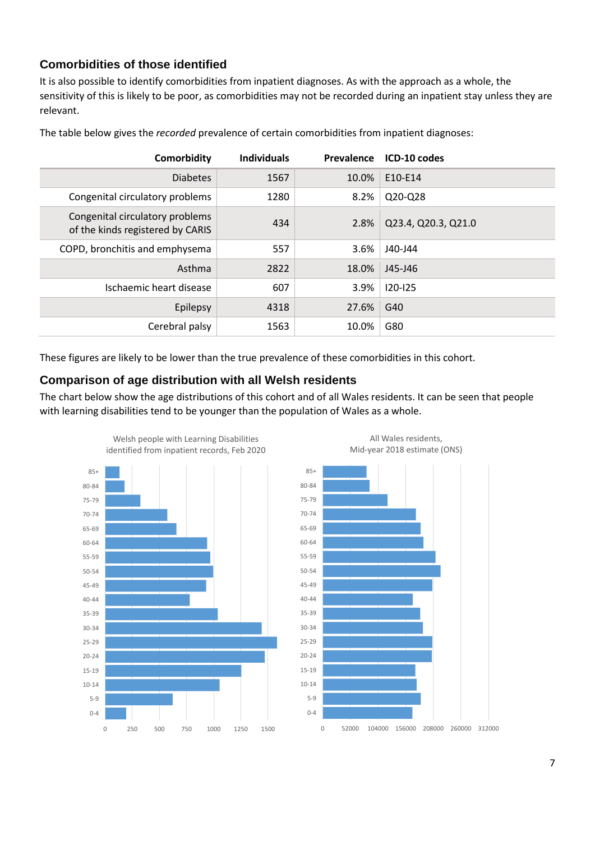### **Comorbidities of those identified**

It is also possible to identify comorbidities from inpatient diagnoses. As with the approach as a whole, the sensitivity of this is likely to be poor, as comorbidities may not be recorded during an inpatient stay unless they are relevant.

| Comorbidity                                                         | <b>Individuals</b> | Prevalence | ICD-10 codes        |
|---------------------------------------------------------------------|--------------------|------------|---------------------|
| <b>Diabetes</b>                                                     | 1567               | 10.0%      | E10-E14             |
| Congenital circulatory problems                                     | 1280               | 8.2%       | Q20-Q28             |
| Congenital circulatory problems<br>of the kinds registered by CARIS | 434                | 2.8%       | Q23.4, Q20.3, Q21.0 |
| COPD, bronchitis and emphysema                                      | 557                | 3.6%       | J40-J44             |
| Asthma                                                              | 2822               | 18.0%      | J45-J46             |
| Ischaemic heart disease                                             | 607                | 3.9%       | $120 - 125$         |
| Epilepsy                                                            | 4318               | 27.6%      | G40                 |
| Cerebral palsy                                                      | 1563               | 10.0%      | G80                 |

The table below gives the *recorded* prevalence of certain comorbidities from inpatient diagnoses:

These figures are likely to be lower than the true prevalence of these comorbidities in this cohort.

#### **Comparison of age distribution with all Welsh residents**

The chart below show the age distributions of this cohort and of all Wales residents. It can be seen that people with learning disabilities tend to be younger than the population of Wales as a whole.





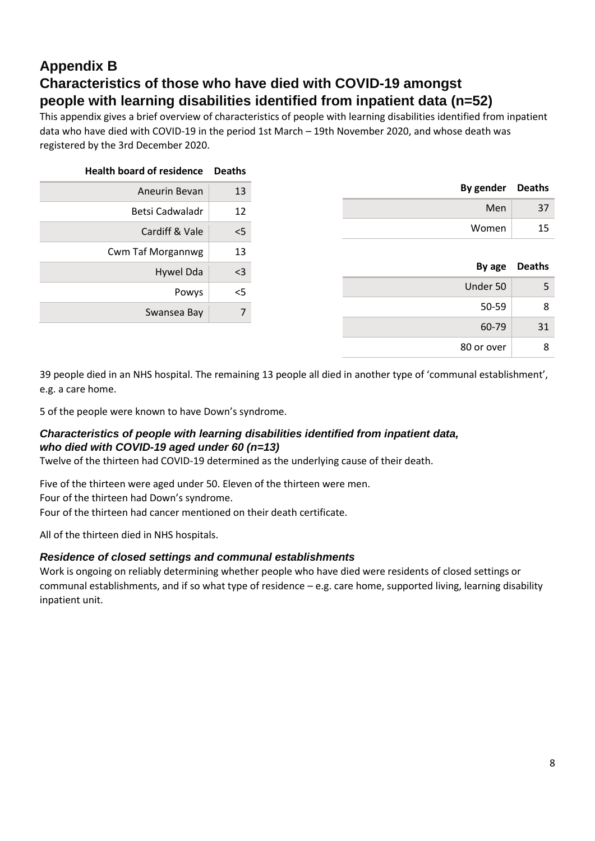# **Appendix B Characteristics of those who have died with COVID-19 amongst people with learning disabilities identified from inpatient data (n=52)**

This appendix gives a brief overview of characteristics of people with learning disabilities identified from inpatient data who have died with COVID-19 in the period 1st March – 19th November 2020, and whose death was registered by the 3rd December 2020.

| <b>Health board of residence</b> | <b>Deaths</b> |
|----------------------------------|---------------|
| Aneurin Bevan                    | 13            |
| Betsi Cadwaladr                  | 12            |
| Cardiff & Vale                   | $<$ 5         |
| <b>Cwm Taf Morgannwg</b>         | 13            |
| Hywel Dda                        | <3            |
| Powys                            | <5            |
| Swansea Bay                      | 7             |
|                                  |               |

|       | By gender Deaths |
|-------|------------------|
| Men   | 37               |
| Women | 15               |

|            | By age Deaths |
|------------|---------------|
| Under 50   |               |
| 50-59      | 8             |
| 60-79      | 31            |
| 80 or over |               |

39 people died in an NHS hospital. The remaining 13 people all died in another type of 'communal establishment', e.g. a care home.

5 of the people were known to have Down's syndrome.

#### *Characteristics of people with learning disabilities identified from inpatient data, who died with COVID-19 aged under 60 (n=13)*

Twelve of the thirteen had COVID-19 determined as the underlying cause of their death.

Five of the thirteen were aged under 50. Eleven of the thirteen were men. Four of the thirteen had Down's syndrome.

Four of the thirteen had cancer mentioned on their death certificate.

All of the thirteen died in NHS hospitals.

#### *Residence of closed settings and communal establishments*

Work is ongoing on reliably determining whether people who have died were residents of closed settings or communal establishments, and if so what type of residence – e.g. care home, supported living, learning disability inpatient unit.